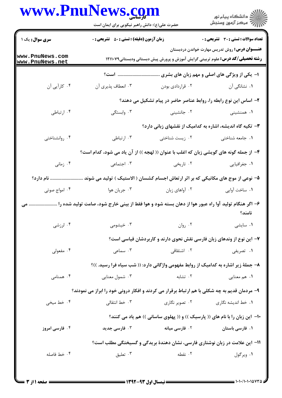## www.PnuNews.com

|                                    | حضرت علی(ع): دانش راهبر نیکویی برای ایمان است                                                                                                  |                                                                                     | ر<br>دانشڪاه پيام نور)<br>ا                                                   |  |
|------------------------------------|------------------------------------------------------------------------------------------------------------------------------------------------|-------------------------------------------------------------------------------------|-------------------------------------------------------------------------------|--|
| <b>سری سوال :</b> یک ۱             | <b>زمان آزمون (دقیقه) : تستی : 50 ٪ تشریحی : 0</b>                                                                                             |                                                                                     | تعداد سوالات : تستي : 30 ٪ تشريحي : 0                                         |  |
| www.PnuNews.com<br>www.PnuNews.net | <b>عنـــوان درس:</b> روش تدریس مهارت خواندن دردبستان<br><b>رشته تحصیلی/کد درس:</b> علوم تربیتی گرایش آموزش و پرورش پیش دبستانی ودبستانی۱۲۱۱۰۷۹ |                                                                                     |                                                                               |  |
|                                    |                                                                                                                                                |                                                                                     | ا- یکی از ویژگی های اصلی و مهم زبان های بشری                                  |  |
| ۰۴ کاراًیی اَن                     | ۰۳ انعطاف پذیری آن                                                                                                                             | ۰۲ قراردادی بودن                                                                    | ۰۱ نشانگی آن                                                                  |  |
|                                    |                                                                                                                                                | ۲- اساس این نوع رابطه را، روابط عناصر حاضر در پیام تشکیل می دهند؟                   |                                                                               |  |
| ۰۴ ارتباطی                         | ۰۳ وابستگی                                                                                                                                     | ۰۲ جانشینی                                                                          | ۰۱ همنشینی                                                                    |  |
|                                    |                                                                                                                                                |                                                                                     | ۳- تکیه گاه اندیشه، اشاره به کدامیک از نقشهای زبانی دارد؟                     |  |
| ۰۴ روانشناختی                      | ۰۳ ارتباطی                                                                                                                                     | ۰۲ زیست شناختی                                                                      | ٠١. جامعه شناختى                                                              |  |
|                                    | ۴- از جمله گونه های گویشی زبان که اغلب با عنوان (( لهجه )) از آن یاد می شود، کدام است؟                                                         |                                                                                     |                                                                               |  |
| ۰۴ زمانی                           | ۰۳ اجتماعی                                                                                                                                     | ۰۲ تاریخی                                                                           | ٠١ جغرافيايي                                                                  |  |
| نام دارد؟                          | ۵– نوعی از موج های مکانیکی که بر اثر ارتعاش اجسام کشسان ( الاستیک ) تولید می شوند                                                              |                                                                                     |                                                                               |  |
| ۰۴ امواج صوتی                      | ۰۳ جريان هوا                                                                                                                                   | ۰۲ آواهای زبان                                                                      | ٠١. ساخت آوايي                                                                |  |
| مى                                 | ۶– اگر هنگام تولید آوا راه عبور هوا از دهان بسته شود و هوا فقط از بینی خارج شود، صامت تولید شده را                                             |                                                                                     | نامند؟                                                                        |  |
| ۰۴ لرزشی                           | ۰۳ خیشومی                                                                                                                                      | ۰۲ روان                                                                             | ۰۱ سایشی                                                                      |  |
|                                    |                                                                                                                                                |                                                                                     | ۷– این نوع از وندهای زبان فارسی نقش نحوی دارند و کاربردشان قیاسی است؟         |  |
| ۰۴ مفعولی                          | ۰۳ سماعی                                                                                                                                       | ۰۲ اشتقاقی                                                                          | ۰۱ تصریفی                                                                     |  |
|                                    |                                                                                                                                                | ۸– جملهٔ زیر اشاره به کدامیک از روابط مفهومی واژگانی دارد: (( شب سیاه فرا رسید. ))؟ |                                                                               |  |
| ۰۴ همنامی                          | ۰۳ شمول معنایی                                                                                                                                 | ۰۲ تشابه                                                                            | ۰۱ هم معنایی                                                                  |  |
|                                    | ۹- مردمان قدیم به چه شکلی با هم ارتباط برقرار می کردند و افکار درونی خود را ابراز می نمودند؟                                                   |                                                                                     |                                                                               |  |
| ۰۴ خط میخی                         | ۰۳ خط انتقالی                                                                                                                                  | ۰۲ تصویر نگاری                                                                      | ۰۱ خط اندیشه نگاری                                                            |  |
|                                    |                                                                                                                                                |                                                                                     | -۱-  این زبان را با نام های (( پارسیک )) و (( پهلوی ساسانی )) هم یاد می کنند؟ |  |
| ۰۴ فارسی امروز                     | ۰۳ فارسی جدید                                                                                                                                  | <b>1. فارسی میانه</b>                                                               | ۰۱ فارسی باستان                                                               |  |
|                                    |                                                                                                                                                |                                                                                     | 1۱– این علامت در زبان نوشتاری فارسی، نشان دهندهٔ بریدگی و گسیختگی مطلب است؟   |  |
| ۰۴ خط فاصله                        | ۰۳ تعلیق                                                                                                                                       | ۰۲ نقطه                                                                             | ۰۱ ویرگول                                                                     |  |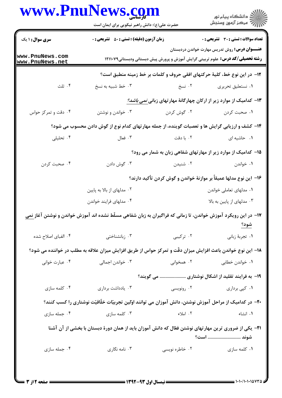## www.PnuNews.com

|                                  | www.PnuNews.com<br>حضرت علی(ع): دانش راهبر نیکویی برای ایمان است                                                                               |                                                                            | ≦ دانشڪاه پيام نور<br>√ مرڪز آزمون وسنڊش     |  |
|----------------------------------|------------------------------------------------------------------------------------------------------------------------------------------------|----------------------------------------------------------------------------|----------------------------------------------|--|
| <b>سری سوال : ۱ یک</b>           | <b>زمان آزمون (دقیقه) : تستی : 50 ٪ تشریحی : 0</b>                                                                                             |                                                                            | <b>تعداد سوالات : تستی : 30 ٪ تشریحی : 0</b> |  |
| ww.PnuNews.com<br>ww.PnuNews.net | <b>عنـــوان درس:</b> روش تدریس مهارت خواندن دردبستان<br><b>رشته تحصیلی/کد درس:</b> علوم تربیتی گرایش آموزش و پرورش پیش دبستانی ودبستانی۱۲۱۱۰۷۹ |                                                                            |                                              |  |
|                                  |                                                                                                                                                | 1۲- در این نوع خط، کلیهٔ حرکتهای افقی حروف و کلمات بر خط زمینه منطبق است؟  |                                              |  |
| ۰۴ ثلث                           | ۰۳ خط شبیه به نسخ                                                                                                                              | ۰۲ نسخ                                                                     | ٠١ نستعليق تحريري                            |  |
|                                  |                                                                                                                                                | ۱۳- کدامیک از موارد زیر از ارکان چهارگانهٔ مهارتهای زبانی <i>نمی باشد؟</i> |                                              |  |
| ۰۴ دقت و تمرکز حواس              | ۰۳ خواندن و نوشتن                                                                                                                              | ۰۲ گوش کردن                                                                | ۰۱ صحبت کردن                                 |  |
|                                  | ۱۴- کشف و ارزیابی گرایش ها و تعصبات گوینده، از جمله مهارتهای کدام نوع از گوش دادن محسوب می شود؟                                                |                                                                            |                                              |  |
| ۰۴ تحلیلی                        | ۰۳ فعال                                                                                                                                        | ۰۲ با دقت                                                                  | ٠١ حاشيه ای                                  |  |
|                                  |                                                                                                                                                | 1۵- کدامیک از موارد زیر از مهارتهای شفاهی زبان به شمار می رود؟             |                                              |  |
| ۰۴ صحبت کردن                     | ۰۳ گوش دادن                                                                                                                                    | ۰۲ شنیدن                                                                   | ۰۱ خواندن                                    |  |
|                                  |                                                                                                                                                | ۱۶– این نوع مدلها عمیقاً بر موازنهٔ خواندن و گوش کردن تأکید دارند؟         |                                              |  |
|                                  | ۰۲ مدلهای از بالا به پایین                                                                                                                     | ۰۱ مدلهای تعاملی خواندن                                                    |                                              |  |
|                                  | ۰۴ مدلهای فرایند خواندن                                                                                                                        |                                                                            | ۰۳ مدلهای از پایین به بالا                   |  |
|                                  | ۱۷– در این رویکرد آموزش خواندن، تا زمانی که فراگیران به زبان شفاهی مسلّط نشده اند آموزش خواندن و نوشتن آغاز نمی                                |                                                                            | <u>شود؟</u>                                  |  |
| ۰۴ الفبای اصلاح شده              | ۰۳ زبانشناختی                                                                                                                                  | ۰۲ ترکیبی                                                                  | ٠١ تجربهٔ زباني                              |  |
|                                  | ۱۸– این نوع خواندن باعث افزایش میزان دقّت و تمرکز حواس از طریق افزایش میزان علاقه به مطلب در خواننده می شود؟                                   |                                                                            |                                              |  |
| ۰۴ عبارت خوانی                   | ۰۳ خواندن اجمالی                                                                                                                               | ۰۲ همخوانی                                                                 | ۰۱ خواندن خطابی                              |  |
|                                  |                                                                                                                                                | ۱۹- به فرایند تقلید از اشکال نوشتاری  می گویند؟                            |                                              |  |
| ۰۴ کلمه سازی                     | ۰۳ یادداشت برداری                                                                                                                              | ۰۲ رونویسی                                                                 | ۰۱ کپی برداری                                |  |
|                                  | +۲- در کدامیک از مراحل آموزش نوشتن، دانش آموزان می توانند اوّلین تجربیّات خلّاقیّت نوشتاری را کسب کنند؟                                        |                                                                            |                                              |  |
| ۰۴ جمله سازی                     | ۰۳ کلمه سازی                                                                                                                                   | ۰۲ املاء                                                                   | ۰۱ انشاء                                     |  |
|                                  | <b>۳۱</b> - یکی از ضروری ترین مهارتهای نوشتن فعّال که دانش آموزان باید از همان دورهٔ دبستان با بخشی از آن آشنا                                 |                                                                            | شوند  است؟                                   |  |
|                                  | ۰۳ نامه نگاری                                                                                                                                  | ۰۲ خاطره نویسی                                                             |                                              |  |